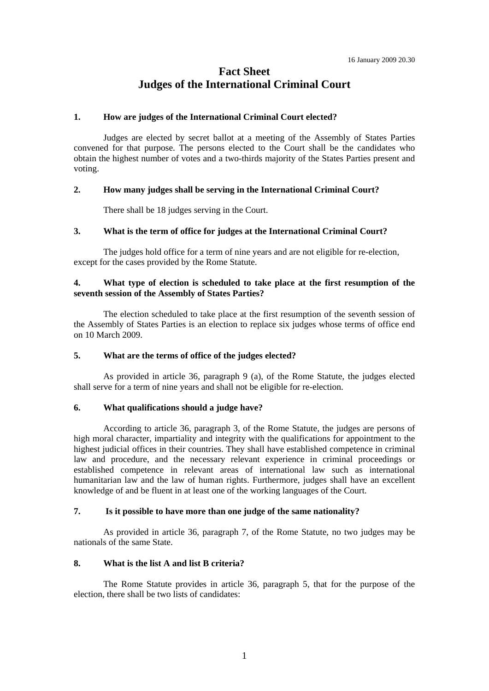# **Fact Sheet Judges of the International Criminal Court**

## **1. How are judges of the International Criminal Court elected?**

 Judges are elected by secret ballot at a meeting of the Assembly of States Parties convened for that purpose. The persons elected to the Court shall be the candidates who obtain the highest number of votes and a two-thirds majority of the States Parties present and voting.

## **2. How many judges shall be serving in the International Criminal Court?**

There shall be 18 judges serving in the Court.

## **3. What is the term of office for judges at the International Criminal Court?**

 The judges hold office for a term of nine years and are not eligible for re-election, except for the cases provided by the Rome Statute.

## **4. What type of election is scheduled to take place at the first resumption of the seventh session of the Assembly of States Parties?**

 The election scheduled to take place at the first resumption of the seventh session of the Assembly of States Parties is an election to replace six judges whose terms of office end on 10 March 2009.

## **5. What are the terms of office of the judges elected?**

 As provided in article 36, paragraph 9 (a), of the Rome Statute, the judges elected shall serve for a term of nine years and shall not be eligible for re-election.

#### **6. What qualifications should a judge have?**

 According to article 36, paragraph 3, of the Rome Statute, the judges are persons of high moral character, impartiality and integrity with the qualifications for appointment to the highest judicial offices in their countries. They shall have established competence in criminal law and procedure, and the necessary relevant experience in criminal proceedings or established competence in relevant areas of international law such as international humanitarian law and the law of human rights. Furthermore, judges shall have an excellent knowledge of and be fluent in at least one of the working languages of the Court.

## **7. Is it possible to have more than one judge of the same nationality?**

 As provided in article 36, paragraph 7, of the Rome Statute, no two judges may be nationals of the same State.

## **8. What is the list A and list B criteria?**

 The Rome Statute provides in article 36, paragraph 5, that for the purpose of the election, there shall be two lists of candidates: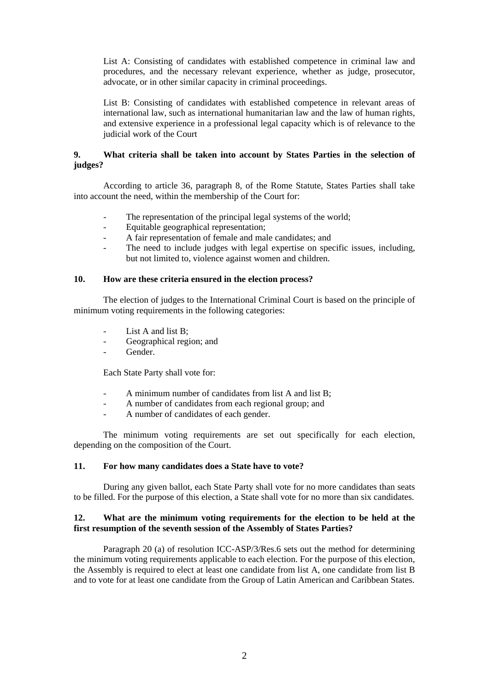List A: Consisting of candidates with established competence in criminal law and procedures, and the necessary relevant experience, whether as judge, prosecutor, advocate, or in other similar capacity in criminal proceedings.

List B: Consisting of candidates with established competence in relevant areas of international law, such as international humanitarian law and the law of human rights, and extensive experience in a professional legal capacity which is of relevance to the judicial work of the Court

## **9. What criteria shall be taken into account by States Parties in the selection of judges?**

 According to article 36, paragraph 8, of the Rome Statute, States Parties shall take into account the need, within the membership of the Court for:

- The representation of the principal legal systems of the world;
- Equitable geographical representation;
- A fair representation of female and male candidates; and
- The need to include judges with legal expertise on specific issues, including, but not limited to, violence against women and children.

## **10. How are these criteria ensured in the election process?**

 The election of judges to the International Criminal Court is based on the principle of minimum voting requirements in the following categories:

- List A and list  $B$ ;
- Geographical region; and
- Gender.

Each State Party shall vote for:

- A minimum number of candidates from list A and list B;
- A number of candidates from each regional group; and
- A number of candidates of each gender.

 The minimum voting requirements are set out specifically for each election, depending on the composition of the Court.

#### **11. For how many candidates does a State have to vote?**

 During any given ballot, each State Party shall vote for no more candidates than seats to be filled. For the purpose of this election, a State shall vote for no more than six candidates.

## **12. What are the minimum voting requirements for the election to be held at the first resumption of the seventh session of the Assembly of States Parties?**

 Paragraph 20 (a) of resolution ICC-ASP/3/Res.6 sets out the method for determining the minimum voting requirements applicable to each election. For the purpose of this election, the Assembly is required to elect at least one candidate from list A, one candidate from list B and to vote for at least one candidate from the Group of Latin American and Caribbean States.